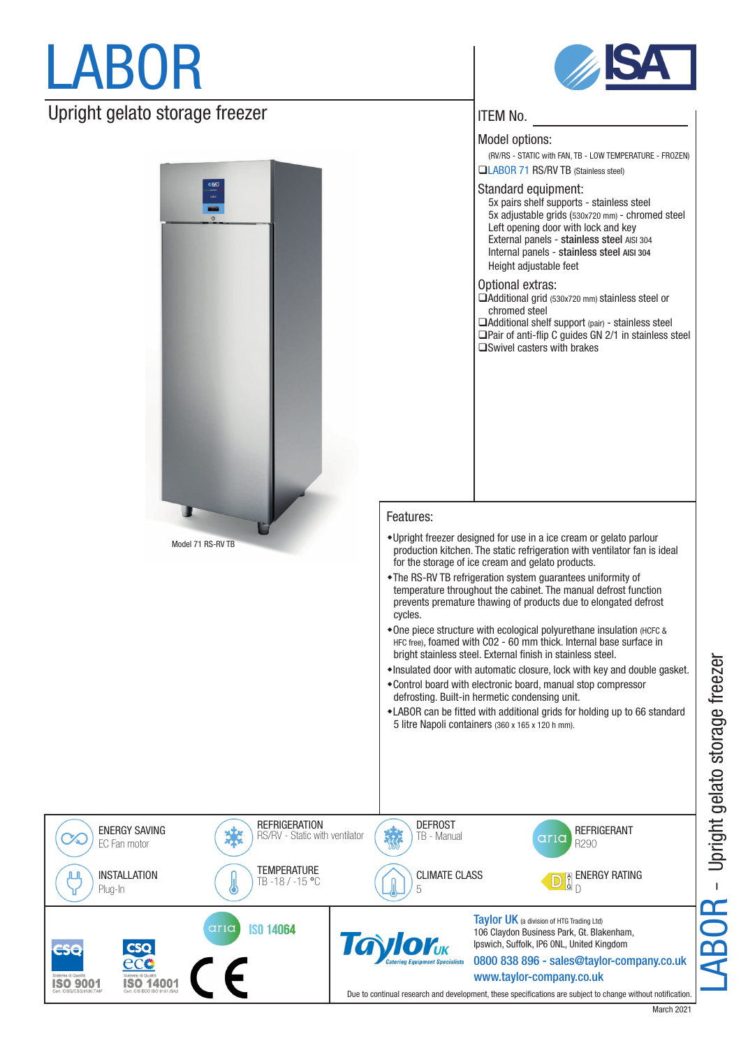## LABOR

## Upright gelato storage freezer